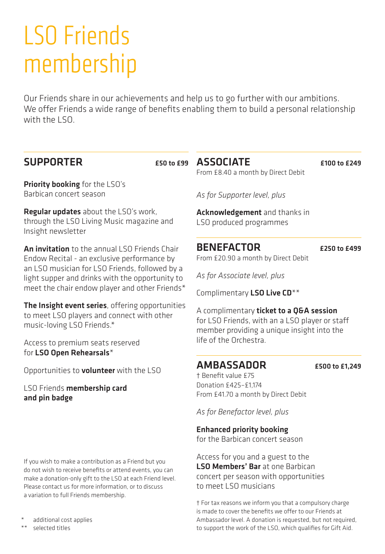# LSO Friends membership

Our Friends share in our achievements and help us to go further with our ambitions. We offer Friends a wide range of benefits enabling them to build a personal relationship with the LSO.

## SUPPORTER

Priority booking for the LSO's Barbican concert season

Regular updates about the LSO's work. through the LSO Living Music magazine and Insight newsletter

An invitation to the annual LSO Friends Chair Endow Recital - an exclusive performance by an LSO musician for LSO Friends, followed by a light supper and drinks with the opportunity to meet the chair endow player and other Friends\*

The Insight event series, offering opportunities to meet LSO players and connect with other music-loving LSO Friends.\*

Access to premium seats reserved for LSO Open Rehearsals\*

Opportunities to **volunteer** with the LSO

LSO Friends membership card and pin badge

If you wish to make a contribution as a Friend but you do not wish to receive benefits or attend events, you can make a donation-only gift to the LSO at each Friend level. Please contact us for more information, or to discuss a variation to full Friends membership.

additional cost applies

\*\* selected titles

ASSOCIATE £100 to £249 From £8.40 a month by Direct Debit

*As for Supporter level, plus*

Acknowledgement and thanks in LSO produced programmes

BENEFACTOR  $F250 to F499$ 

From £20.90 a month by Direct Debit

*As for Associate level, plus*

Complimentary LSO Live CD<sup>\*\*</sup>

A complimentary ticket to a O&A session for LSO Friends, with an a LSO player or staff member providing a unique insight into the life of the Orchestra.

## $AMBASSADOR$   $E500 \text{ to } E1,249$

† Benefit value £75 Donation £425–£1,174 From £41.70 a month by Direct Debit

*As for Benefactor level, plus* 

Enhanced priority booking

for the Barbican concert season

Access for you and a guest to the **LSO Members' Bar** at one Barbican concert per season with opportunities to meet LSO musicians

† For tax reasons we inform you that a compulsory charge is made to cover the benefits we offer to our Friends at Ambassador level. A donation is requested, but not required, to support the work of the LSO, which qualifies for Gift Aid.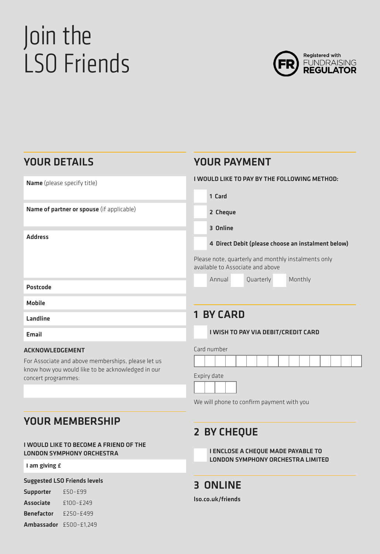# Join the LSO Friends



## YOUR DETAILS

| Name (please specify title)                                                                             | I WOULD LIKE TO PAY BY THE FOLLOWING METHOD:                                            |  |
|---------------------------------------------------------------------------------------------------------|-----------------------------------------------------------------------------------------|--|
|                                                                                                         | 1 Card                                                                                  |  |
| Name of partner or spouse (if applicable)                                                               | 2 Cheque                                                                                |  |
|                                                                                                         | 3 Online                                                                                |  |
| <b>Address</b>                                                                                          | 4 Direct Debit (please choose an instalment below)                                      |  |
|                                                                                                         | Please note, quarterly and monthly instalments only<br>available to Associate and above |  |
|                                                                                                         | Monthly<br>Annual<br>Quarterly                                                          |  |
| Postcode                                                                                                |                                                                                         |  |
| Mobile                                                                                                  |                                                                                         |  |
| Landline                                                                                                | <b>1 BY CARD</b>                                                                        |  |
| Email                                                                                                   | I WISH TO PAY VIA DEBIT/CREDIT CARD                                                     |  |
| ACKNOWLEDGEMENT                                                                                         | Card number                                                                             |  |
| For Associate and above memberships, please let us<br>know how you would like to be acknowledged in our |                                                                                         |  |
| concert programmer.                                                                                     | Expiry date                                                                             |  |

concert programmes:

### We will phone to confirm payment with you

YOUR PAYMENT

## YOUR MEMBERSHIP

#### I WOULD LIKE TO BECOME A FRIEND OF THE LONDON SYMPHONY ORCHESTRA

#### **I am giving £**

#### Suggested LSO Friends levels

Supporter £50–£99 Associate £100–£249 Benefactor £250–£499 Ambassador £500-£1,249

## 2 BY CHEQUE

I ENCLOSE A CHEQUE MADE PAYABLE TO LONDON SYMPHONY ORCHESTRA LIMITED

## 3 ONLINE

lso.co.uk/friends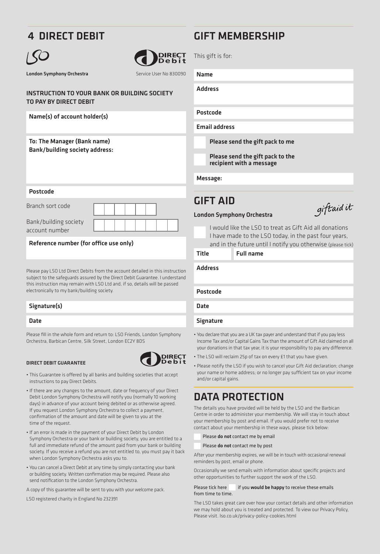## 4 DIRECT DEBIT



London Symphony Orchestra Service User No 830090



#### INSTRUCTION TO YOUR BANK OR BUILDING SOCIETY TO PAY BY DIRECT DEBIT

#### Name(s) of account holder(s)

#### To: The Manager (Bank name) Bank/building society address:

#### Postcode

| Branch sort code |  |  |  |
|------------------|--|--|--|
|------------------|--|--|--|

| Bank/building society |
|-----------------------|
| account number        |

Reference number (for office use only)

Please pay LSO Ltd Direct Debits from the account detailed in this instruction subject to the safeguards assured by the Direct Debit Guarantee. I understand this instruction may remain with LSO Ltd and, if so, details will be passed electronically to my bank/building society.

#### Signature(s)

#### Date

Please fill in the whole form and return to: LSO Friends, London Symphony Orchestra, Barbican Centre, Silk Street, London EC2Y 8DS

#### DIRECT DEBIT GUARANTEE



- This Guarantee is offered by all banks and building societies that accept instructions to pay Direct Debits.
- If there are any changes to the amount, date or frequency of your Direct Debit London Symphony Orchestra will notify you (normally 10 working days) in advance of your account being debited or as otherwise agreed. If you request London Symphony Orchestra to collect a payment confirmation of the amount and date will be given to you at the time of the request.
- If an error is made in the payment of your Direct Debit by London Symphony Orchestra or your bank or building society, you are entitled to a full and immediate refund of the amount paid from your bank or building society. If you receive a refund you are not entitled to, you must pay it back when London Symphony Orchestra asks you to.
- You can cancel a Direct Debit at any time by simply contacting your bank or building society. Written confirmation may be required. Please also send notification to the London Symphony Orchestra.

A copy of this guarantee will be sent to you with your welcome pack.

LSO registered charity in England No 232391

## GIFT MEMBERSHIP

This gift is for:

Name

Address

Postcode

Email address

Please send the gift pack to me

Please send the gift pack to the recipient with a message

Message:

## GIFT AID

giftaid it

#### London Symphony Orchestra

I would like the LSO to treat as Gift Aid all donations I have made to the LSO today, in the past four years, and in the future until I notify you otherwise (please tick)

Title Full name

Address

Postcode

Date

#### Signature

- You declare that you are a UK tax payer and understand that if you pay less Income Tax and/or Capital Gains Tax than the amount of Gift Aid claimed on all your donations in that tax year, it is your responsibility to pay any difference.
- The LSO will reclaim 25p of tax on every £1 that you have given.
- Please notify the LSO if you wish to cancel your Gift Aid declaration; change your name or home address; or no longer pay sufficient tax on your income and/or capital gains.

## DATA PROTECTION

The details you have provided will be held by the LSO and the Barbican Centre in order to administer your membership. We will stay in touch about your membership by post and email. If you would prefer not to receive contact about your membership in these ways, please tick below:

Please do not contact me by email

Please do not contact me by post

After your membership expires, we will be in touch with occasional renewal reminders by nost, email or phone.

Occasionally we send emails with information about specific projects and other opportunities to further support the work of the LSO.

#### Please tick here if you would be happy to receive these emails from time to time.

The LSO takes great care over how your contact details and other information we may hold about you is treated and protected. To view our Privacy Policy, Please visit. lso.co.uk/privacy-policy-cookies.html